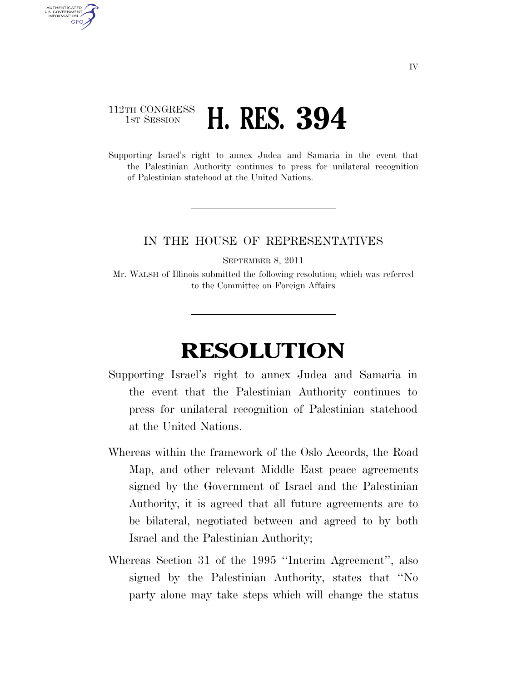## 112TH CONGRESS **1ST SESSION <b>H. RES. 394**

AUTHENTICATED U.S. GOVERNMENT **GPO** 

> Supporting Israel's right to annex Judea and Samaria in the event that the Palestinian Authority continues to press for unilateral recognition of Palestinian statehood at the United Nations.

## IN THE HOUSE OF REPRESENTATIVES

SEPTEMBER 8, 2011

Mr. WALSH of Illinois submitted the following resolution; which was referred to the Committee on Foreign Affairs

## **RESOLUTION**

- Supporting Israel's right to annex Judea and Samaria in the event that the Palestinian Authority continues to press for unilateral recognition of Palestinian statehood at the United Nations.
- Whereas within the framework of the Oslo Accords, the Road Map, and other relevant Middle East peace agreements signed by the Government of Israel and the Palestinian Authority, it is agreed that all future agreements are to be bilateral, negotiated between and agreed to by both Israel and the Palestinian Authority;
- Whereas Section 31 of the 1995 ''Interim Agreement'', also signed by the Palestinian Authority, states that ''No party alone may take steps which will change the status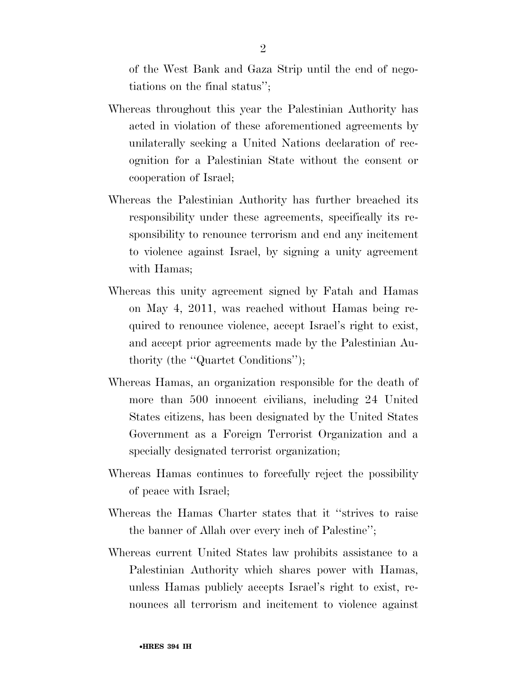of the West Bank and Gaza Strip until the end of negotiations on the final status'';

- Whereas throughout this year the Palestinian Authority has acted in violation of these aforementioned agreements by unilaterally seeking a United Nations declaration of recognition for a Palestinian State without the consent or cooperation of Israel;
- Whereas the Palestinian Authority has further breached its responsibility under these agreements, specifically its responsibility to renounce terrorism and end any incitement to violence against Israel, by signing a unity agreement with Hamas;
- Whereas this unity agreement signed by Fatah and Hamas on May 4, 2011, was reached without Hamas being required to renounce violence, accept Israel's right to exist, and accept prior agreements made by the Palestinian Authority (the ''Quartet Conditions'');
- Whereas Hamas, an organization responsible for the death of more than 500 innocent civilians, including 24 United States citizens, has been designated by the United States Government as a Foreign Terrorist Organization and a specially designated terrorist organization;
- Whereas Hamas continues to forcefully reject the possibility of peace with Israel;
- Whereas the Hamas Charter states that it ''strives to raise the banner of Allah over every inch of Palestine'';
- Whereas current United States law prohibits assistance to a Palestinian Authority which shares power with Hamas, unless Hamas publicly accepts Israel's right to exist, renounces all terrorism and incitement to violence against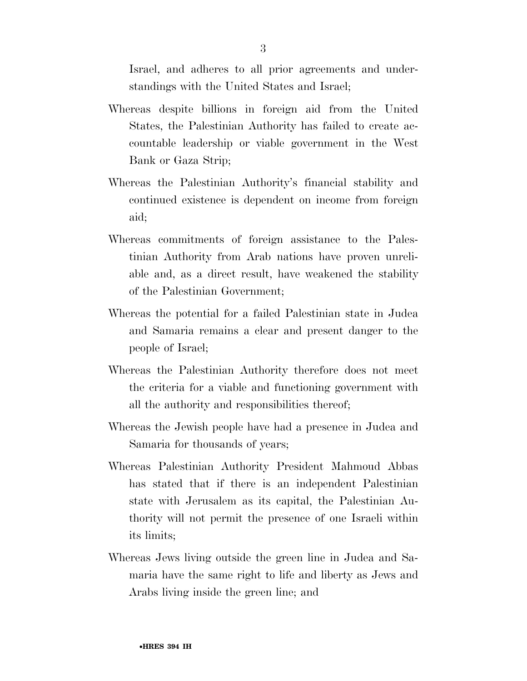Israel, and adheres to all prior agreements and understandings with the United States and Israel;

- Whereas despite billions in foreign aid from the United States, the Palestinian Authority has failed to create accountable leadership or viable government in the West Bank or Gaza Strip;
- Whereas the Palestinian Authority's financial stability and continued existence is dependent on income from foreign aid;
- Whereas commitments of foreign assistance to the Palestinian Authority from Arab nations have proven unreliable and, as a direct result, have weakened the stability of the Palestinian Government;
- Whereas the potential for a failed Palestinian state in Judea and Samaria remains a clear and present danger to the people of Israel;
- Whereas the Palestinian Authority therefore does not meet the criteria for a viable and functioning government with all the authority and responsibilities thereof;
- Whereas the Jewish people have had a presence in Judea and Samaria for thousands of years;
- Whereas Palestinian Authority President Mahmoud Abbas has stated that if there is an independent Palestinian state with Jerusalem as its capital, the Palestinian Authority will not permit the presence of one Israeli within its limits;
- Whereas Jews living outside the green line in Judea and Samaria have the same right to life and liberty as Jews and Arabs living inside the green line; and